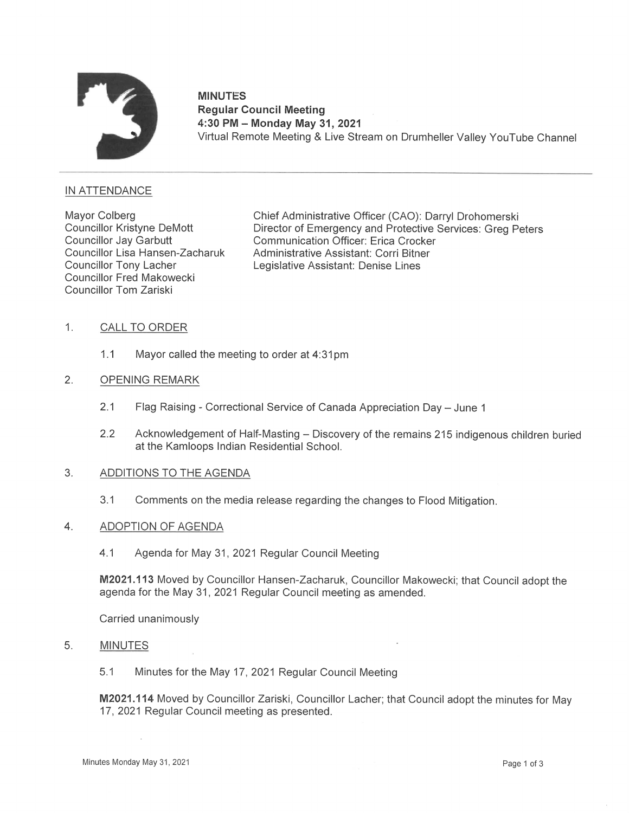

# **MINUTES** Regular Council Meeting 4:30 PM — Monday May 31, 2021 Virtual Remote Meeting & Live Stream on Drumheller Valley YouTube Channel

# IN ATTENDANCE

Councillor Fred Makowecki Councillor Tom Zariski

Mayor Colberg Chief Administrative Officer (CAO): Darryl Drohomerski<br>Councillor Kristyne DeMott Director of Emergency and Protective Services: Greg Pe Councillor Kristyne DeMott Director of Emergency and Protective Services: Greg Peters<br>Councillor Jay Garbutt Communication Officer: Erica Crocker Communication Officer: Erica Crocker Councillor Lisa Hansen—Zacharuk Administrative Assistant: Corri Bitner Councillor Tony Lacher Legislative Assistant: Denise Lines

- 1. CALL TO ORDER
	- 1.1 Mayor called the meeting to order at 4:31pm
- $2.$ OPENING REMARK
	- 2.1 Flag Raising Correctional Service of Canada Appreciation Day June 1
	- 2.2 Acknowledgement of Half-Masting Discovery of the remains 215 indigenous children buried at the Kamloops Indian Residential School.

#### $3.$ ADDITIONS TO THE AGENDA

3.1 Comments on the media release regarding the changes to Flood Mitigation.

#### 4. ADOPTION OF AGENDA

4.1 Agenda for May 31, 2021 Regular Council Meeting

M2021.113 Moved by Councillor Hansen—Zacharuk, Councillor Makowecki; that Council adopt the agenda for the May 31, 2021 Regular Council meeting as amended.

Carried unanimously

### 5. MINUTES

5.1 Minutes for the May 17, 2021 Regular Council Meeting

M2021.114Moved by Councillor Zariski, Councillor Lacher; that Council adopt the minutes for May 17, 2021 Regular Council meeting as presented.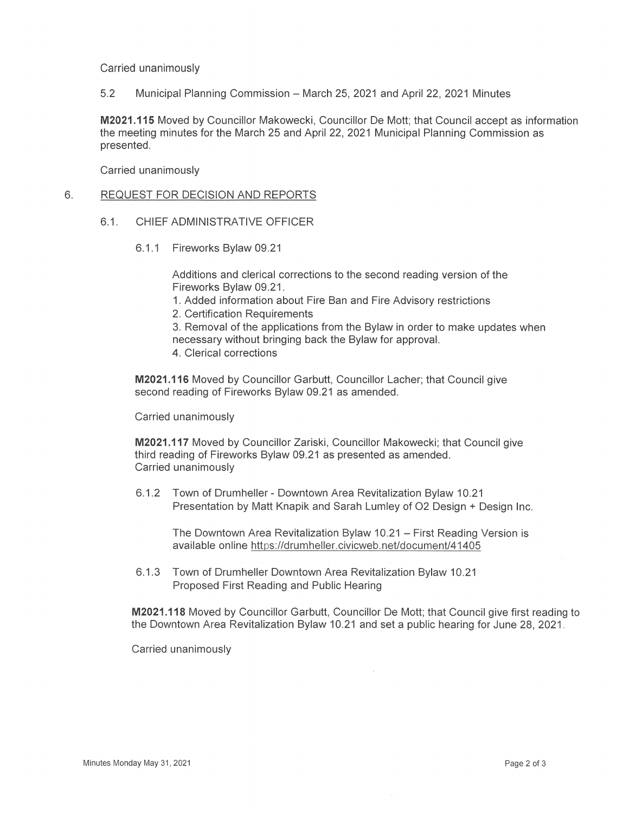Carried unanimously

5.2 Municipal Planning Commission — March 25, 2021 and April 22, 2021 Minutes

M2021.115 Moved by Councillor Makowecki, Councillor De Mott; that Council accept as information the meeting minutes for the March 25 and April 22,2021 Municipal Planning Commission as presented.

Carried unanimously

# 6. REQUEST FOR DECISION AND REPORTS

- 6.1. CHIEF ADMINISTRATIVE OFFICER
	- 6.1.1 Fireworks Bylaw 09.21

Additions and clerical corrections to the second reading version of the Fireworks Bylaw 09.21.

- 1. Added information about Fire Ban and Fire Advisory restrictions
- 2. Certification Requirements
- 3. Removal of the applications from the Bylaw in order to make updates when necessary without bringing back the Bylaw for approval.
- 4. Clerical corrections

M2021.116 Moved by Councillor Garbutt, Councillor Lacher; that Council give second reading of Fireworks Bylaw 09.21 as amended.

Carried unanimously

M2021.117 Moved by Councillor Zariski, Councillor Makowecki; that Council give third reading of Fireworks Bylaw 09.21 as presented as amended. Carried unanimously

6.1.2 Town of Drumheller — Downtown Area Revitalization Bylaw 10.21 Presentation by Matt Knapik and Sarah Lumley of 02 Design + Design Inc.

The Downtown Area Revitalization Bylaw 10.21 — First Reading Version is available online https://drumheller.civicweb.net/document/41405

6.1.3 Town of Drumheller Downtown Area Revitalization Bylaw 10.21 Proposed First Reading and Public Hearing

M2021.118 Moved by Councillor Garbutt, Councillor De Mott; that Council give first reading to the Downtown Area Revitalization Bylaw 10.21 and seta public hearing for June 28, 2021

Carried unanimously